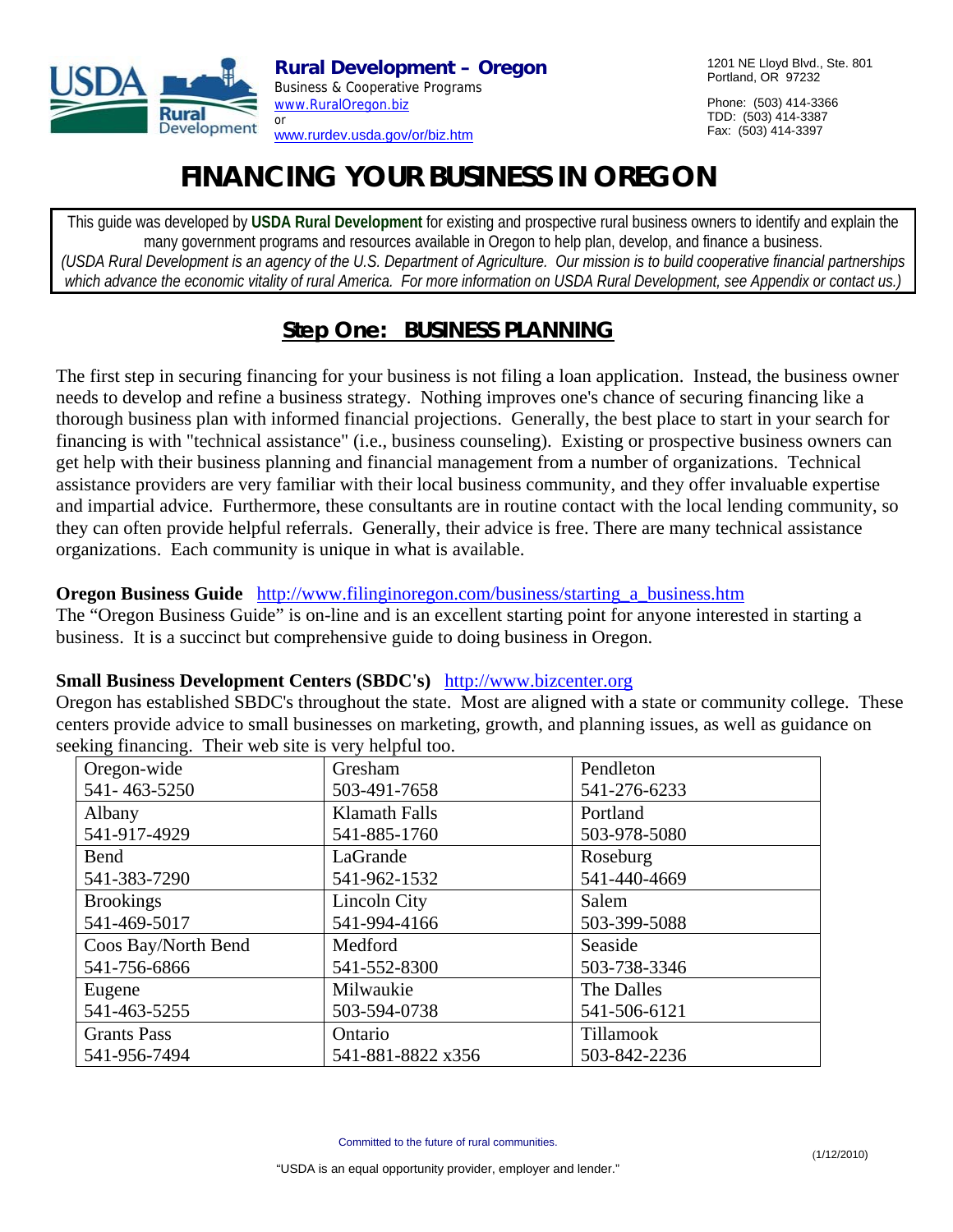

1201 NE Lloyd Blvd., Ste. 801 Portland, OR 97232

Phone: (503) 414-3366 TDD: (503) 414-3387 Fax: (503) 414-3397

# **FINANCING YOUR BUSINESS IN OREGON**

This guide was developed by **USDA Rural Development** for existing and prospective rural business owners to identify and explain the many government programs and resources available in Oregon to help plan, develop, and finance a business. *(USDA Rural Development is an agency of the U.S. Department of Agriculture. Our mission is to build cooperative financial partnerships which advance the economic vitality of rural America. For more information on USDA Rural Development, see Appendix or contact us.)* 

# **Step One: BUSINESS PLANNING**

The first step in securing financing for your business is not filing a loan application. Instead, the business owner needs to develop and refine a business strategy. Nothing improves one's chance of securing financing like a thorough business plan with informed financial projections. Generally, the best place to start in your search for financing is with "technical assistance" (i.e., business counseling). Existing or prospective business owners can get help with their business planning and financial management from a number of organizations. Technical assistance providers are very familiar with their local business community, and they offer invaluable expertise and impartial advice. Furthermore, these consultants are in routine contact with the local lending community, so they can often provide helpful referrals. Generally, their advice is free. There are many technical assistance organizations. Each community is unique in what is available.

## **Oregon Business Guide** http://www.filinginoregon.com/business/starting a business.htm

The "Oregon Business Guide" is on-line and is an excellent starting point for anyone interested in starting a business. It is a succinct but comprehensive guide to doing business in Oregon.

#### **Small Business Development Centers (SBDC's)** http://www.bizcenter.org

Oregon has established SBDC's throughout the state. Most are aligned with a state or community college. These centers provide advice to small businesses on marketing, growth, and planning issues, as well as guidance on seeking financing. Their web site is very helpful too.

| $\circ$<br>- 0<br>Oregon-wide | Gresham              | Pendleton        |
|-------------------------------|----------------------|------------------|
| 541-463-5250                  | 503-491-7658         | 541-276-6233     |
| Albany                        | <b>Klamath Falls</b> | Portland         |
| 541-917-4929                  | 541-885-1760         | 503-978-5080     |
| Bend                          | LaGrande             | Roseburg         |
| 541-383-7290                  | 541-962-1532         | 541-440-4669     |
| <b>Brookings</b>              | Lincoln City         | Salem            |
| 541-469-5017                  | 541-994-4166         | 503-399-5088     |
| Coos Bay/North Bend           | Medford              | Seaside          |
| 541-756-6866                  | 541-552-8300         | 503-738-3346     |
| Eugene                        | Milwaukie            | The Dalles       |
| 541-463-5255                  | 503-594-0738         | 541-506-6121     |
| <b>Grants Pass</b>            | Ontario              | <b>Tillamook</b> |
| 541-956-7494                  | 541-881-8822 x356    | 503-842-2236     |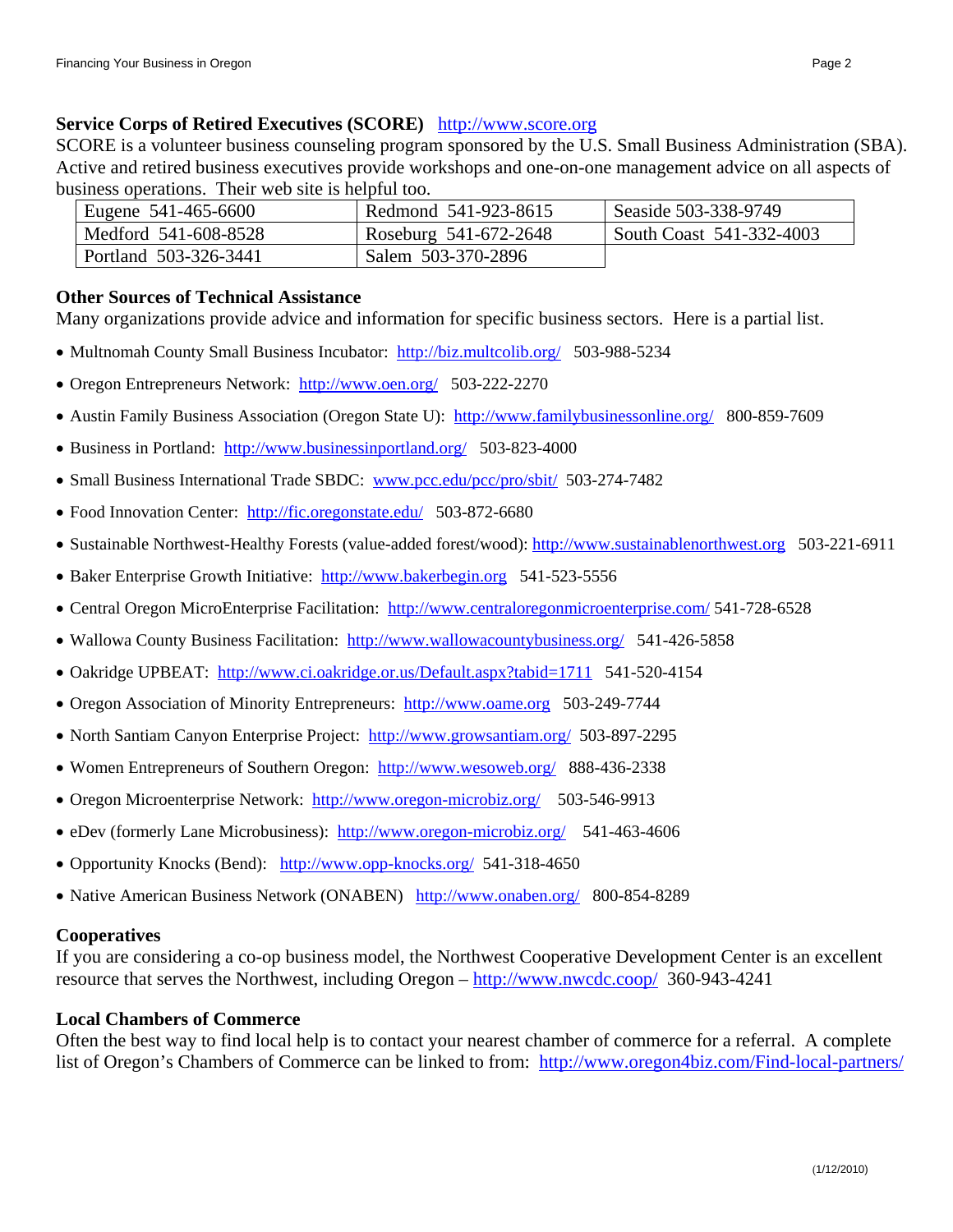#### **Service Corps of Retired Executives (SCORE)** http://www.score.org

SCORE is a volunteer business counseling program sponsored by the U.S. Small Business Administration (SBA). Active and retired business executives provide workshops and one-on-one management advice on all aspects of business operations. Their web site is helpful too.

| Eugene 541-465-6600   | Redmond 541-923-8615  | Seaside 503-338-9749     |
|-----------------------|-----------------------|--------------------------|
| Medford 541-608-8528  | Roseburg 541-672-2648 | South Coast 541-332-4003 |
| Portland 503-326-3441 | Salem 503-370-2896    |                          |

#### **Other Sources of Technical Assistance**

Many organizations provide advice and information for specific business sectors. Here is a partial list.

- Multnomah County Small Business Incubator: http://biz.multcolib.org/ 503-988-5234
- Oregon Entrepreneurs Network: http://www.oen.org/ 503-222-2270
- Austin Family Business Association (Oregon State U): http://www.familybusinessonline.org/ 800-859-7609
- Business in Portland: http://www.businessinportland.org/ 503-823-4000
- Small Business International Trade SBDC: www.pcc.edu/pcc/pro/sbit/ 503-274-7482
- Food Innovation Center: http://fic.oregonstate.edu/ 503-872-6680
- Sustainable Northwest-Healthy Forests (value-added forest/wood): http://www.sustainablenorthwest.org 503-221-6911
- Baker Enterprise Growth Initiative: http://www.bakerbegin.org 541-523-5556
- Central Oregon MicroEnterprise Facilitation: http://www.centraloregonmicroenterprise.com/ 541-728-6528
- Wallowa County Business Facilitation: http://www.wallowacountybusiness.org/ 541-426-5858
- Oakridge UPBEAT: http://www.ci.oakridge.or.us/Default.aspx?tabid=1711 541-520-4154
- Oregon Association of Minority Entrepreneurs: http://www.oame.org 503-249-7744
- North Santiam Canyon Enterprise Project: http://www.growsantiam.org/ 503-897-2295
- Women Entrepreneurs of Southern Oregon: http://www.wesoweb.org/ 888-436-2338
- Oregon Microenterprise Network: http://www.oregon-microbiz.org/ 503-546-9913
- eDev (formerly Lane Microbusiness): http://www.oregon-microbiz.org/ 541-463-4606
- Opportunity Knocks (Bend): http://www.opp-knocks.org/ 541-318-4650
- Native American Business Network (ONABEN) http://www.onaben.org/ 800-854-8289

#### **Cooperatives**

If you are considering a co-op business model, the Northwest Cooperative Development Center is an excellent resource that serves the Northwest, including Oregon – http://www.nwcdc.coop/ 360-943-4241

#### **Local Chambers of Commerce**

Often the best way to find local help is to contact your nearest chamber of commerce for a referral. A complete list of Oregon's Chambers of Commerce can be linked to from: http://www.oregon4biz.com/Find-local-partners/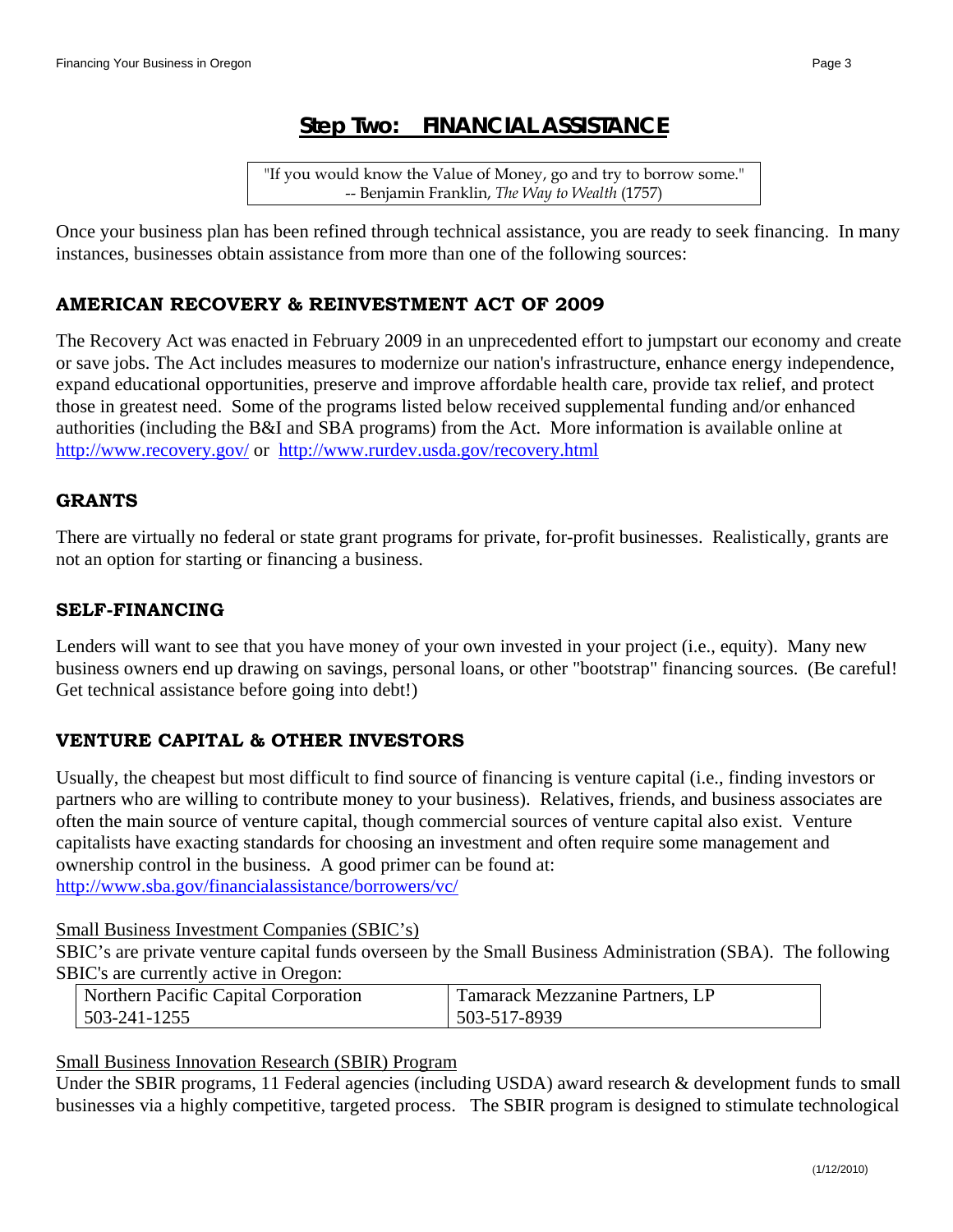"If you would know the Value of Money, go and try to borrow some." -- Benjamin Franklin, *The Way to Wealth* (1757)

Once your business plan has been refined through technical assistance, you are ready to seek financing. In many instances, businesses obtain assistance from more than one of the following sources:

## **AMERICAN RECOVERY & REINVESTMENT ACT OF 2009**

The Recovery Act was enacted in February 2009 in an unprecedented effort to jumpstart our economy and create or save jobs. The Act includes measures to modernize our nation's infrastructure, enhance energy independence, expand educational opportunities, preserve and improve affordable health care, provide tax relief, and protect those in greatest need. Some of the programs listed below received supplemental funding and/or enhanced authorities (including the B&I and SBA programs) from the Act. More information is available online at http://www.recovery.gov/ or http://www.rurdev.usda.gov/recovery.html

## **GRANTS**

There are virtually no federal or state grant programs for private, for-profit businesses. Realistically, grants are not an option for starting or financing a business.

## **SELF-FINANCING**

Lenders will want to see that you have money of your own invested in your project (i.e., equity). Many new business owners end up drawing on savings, personal loans, or other "bootstrap" financing sources. (Be careful! Get technical assistance before going into debt!)

## **VENTURE CAPITAL & OTHER INVESTORS**

Usually, the cheapest but most difficult to find source of financing is venture capital (i.e., finding investors or partners who are willing to contribute money to your business). Relatives, friends, and business associates are often the main source of venture capital, though commercial sources of venture capital also exist. Venture capitalists have exacting standards for choosing an investment and often require some management and ownership control in the business. A good primer can be found at: http://www.sba.gov/financialassistance/borrowers/vc/

Small Business Investment Companies (SBIC's)

SBIC's are private venture capital funds overseen by the Small Business Administration (SBA). The following SBIC's are currently active in Oregon:

| Northern Pacific Capital Corporation | Tamarack Mezzanine Partners, LP |
|--------------------------------------|---------------------------------|
| 503-241-1255                         | 503-517-8939                    |

Small Business Innovation Research (SBIR) Program

Under the SBIR programs, 11 Federal agencies (including USDA) award research & development funds to small businesses via a highly competitive, targeted process. The SBIR program is designed to stimulate technological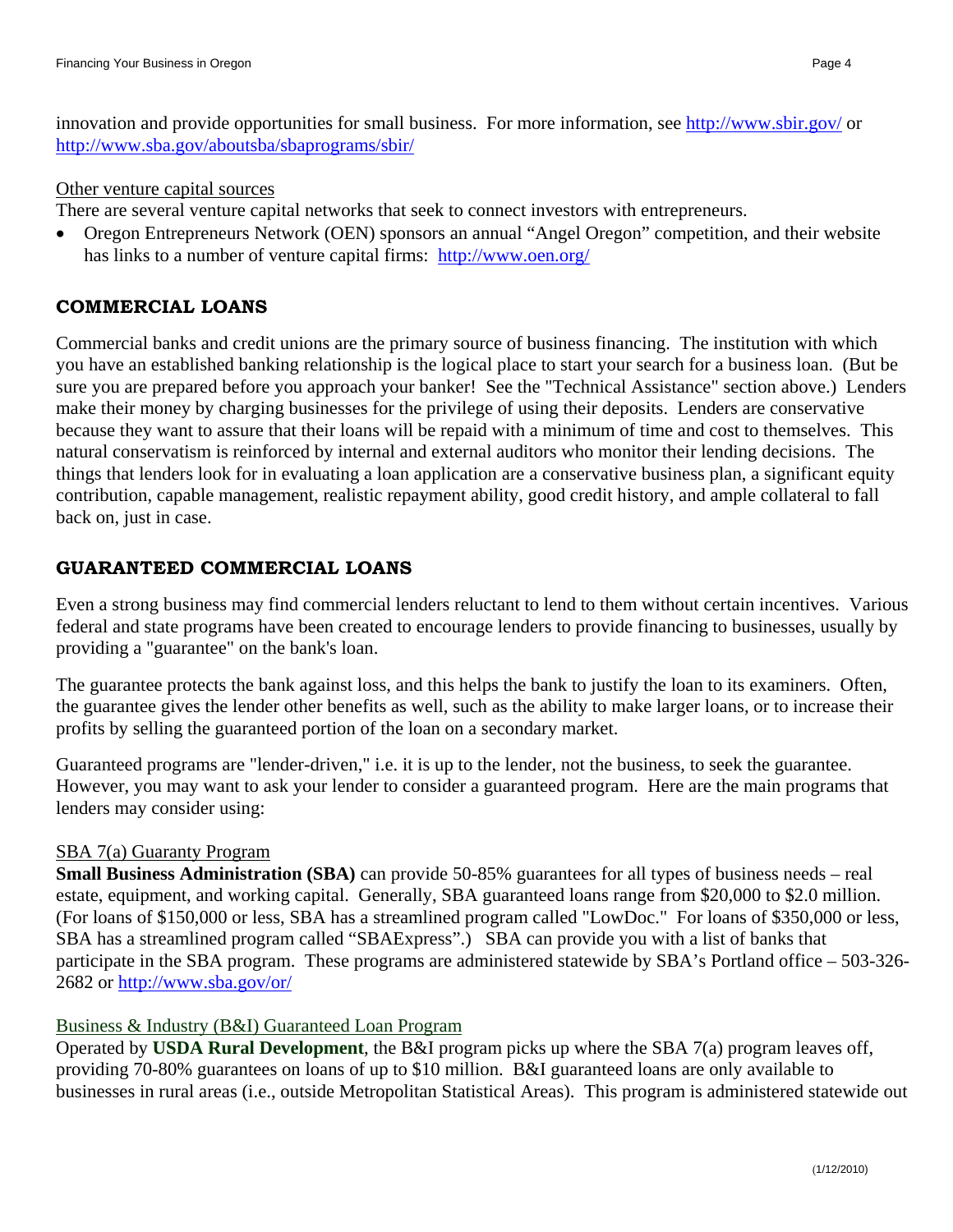innovation and provide opportunities for small business. For more information, see http://www.sbir.gov/ or http://www.sba.gov/aboutsba/sbaprograms/sbir/

#### Other venture capital sources

There are several venture capital networks that seek to connect investors with entrepreneurs.

 Oregon Entrepreneurs Network (OEN) sponsors an annual "Angel Oregon" competition, and their website has links to a number of venture capital firms: http://www.oen.org/

## **COMMERCIAL LOANS**

Commercial banks and credit unions are the primary source of business financing. The institution with which you have an established banking relationship is the logical place to start your search for a business loan. (But be sure you are prepared before you approach your banker! See the "Technical Assistance" section above.) Lenders make their money by charging businesses for the privilege of using their deposits. Lenders are conservative because they want to assure that their loans will be repaid with a minimum of time and cost to themselves. This natural conservatism is reinforced by internal and external auditors who monitor their lending decisions. The things that lenders look for in evaluating a loan application are a conservative business plan, a significant equity contribution, capable management, realistic repayment ability, good credit history, and ample collateral to fall back on, just in case.

## **GUARANTEED COMMERCIAL LOANS**

Even a strong business may find commercial lenders reluctant to lend to them without certain incentives. Various federal and state programs have been created to encourage lenders to provide financing to businesses, usually by providing a "guarantee" on the bank's loan.

The guarantee protects the bank against loss, and this helps the bank to justify the loan to its examiners. Often, the guarantee gives the lender other benefits as well, such as the ability to make larger loans, or to increase their profits by selling the guaranteed portion of the loan on a secondary market.

Guaranteed programs are "lender-driven," i.e. it is up to the lender, not the business, to seek the guarantee. However, you may want to ask your lender to consider a guaranteed program. Here are the main programs that lenders may consider using:

## SBA 7(a) Guaranty Program

**Small Business Administration (SBA)** can provide 50-85% guarantees for all types of business needs – real estate, equipment, and working capital. Generally, SBA guaranteed loans range from \$20,000 to \$2.0 million. (For loans of \$150,000 or less, SBA has a streamlined program called "LowDoc." For loans of \$350,000 or less, SBA has a streamlined program called "SBAExpress".) SBA can provide you with a list of banks that participate in the SBA program. These programs are administered statewide by SBA's Portland office – 503-326- 2682 or http://www.sba.gov/or/

#### Business & Industry (B&I) Guaranteed Loan Program

Operated by **USDA Rural Development**, the B&I program picks up where the SBA 7(a) program leaves off, providing 70-80% guarantees on loans of up to \$10 million. B&I guaranteed loans are only available to businesses in rural areas (i.e., outside Metropolitan Statistical Areas). This program is administered statewide out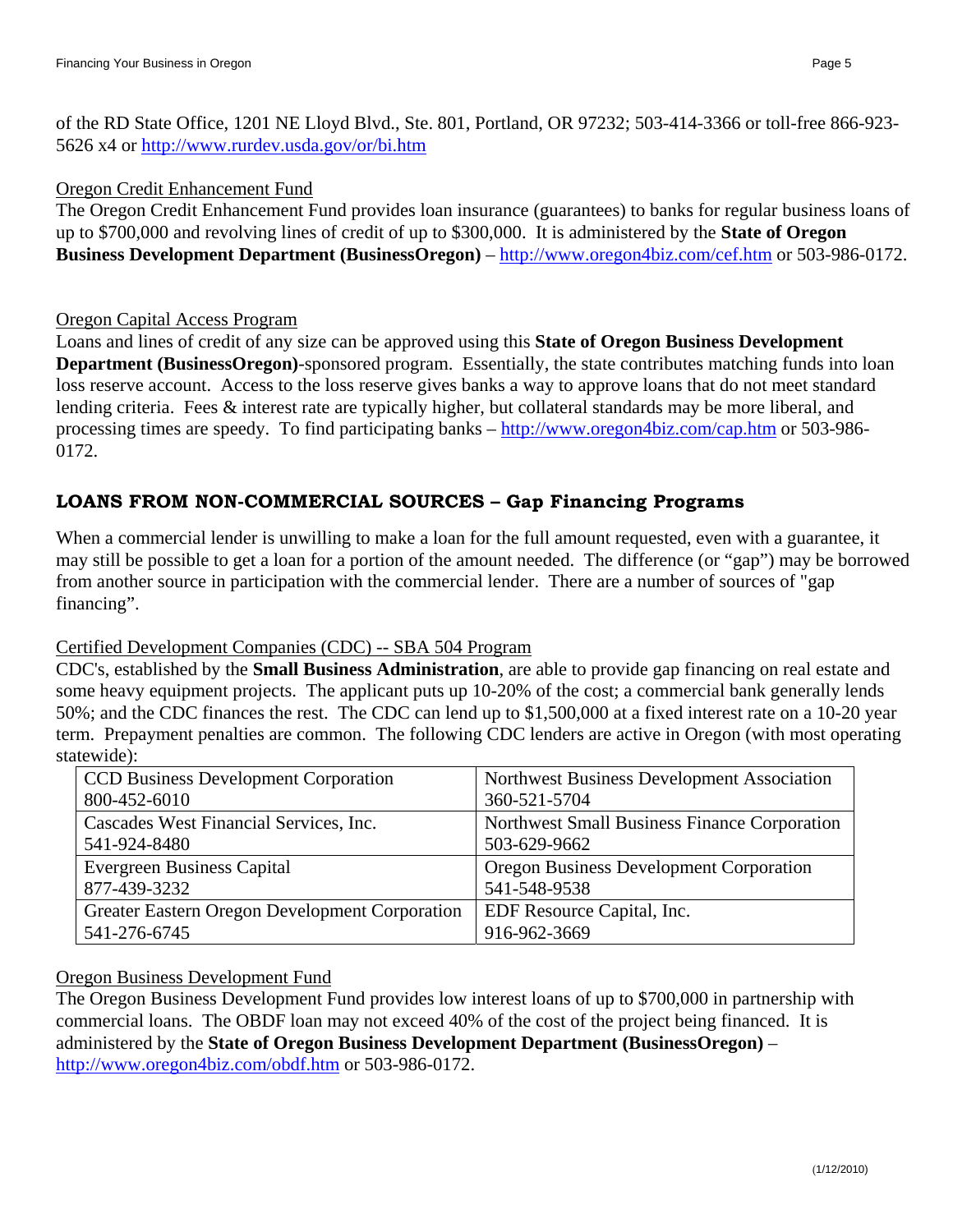of the RD State Office, 1201 NE Lloyd Blvd., Ste. 801, Portland, OR 97232; 503-414-3366 or toll-free 866-923- 5626 x4 or http://www.rurdev.usda.gov/or/bi.htm

#### Oregon Credit Enhancement Fund

The Oregon Credit Enhancement Fund provides loan insurance (guarantees) to banks for regular business loans of up to \$700,000 and revolving lines of credit of up to \$300,000. It is administered by the **State of Oregon Business Development Department (BusinessOregon)** – http://www.oregon4biz.com/cef.htm or 503-986-0172.

#### Oregon Capital Access Program

Loans and lines of credit of any size can be approved using this **State of Oregon Business Development Department (BusinessOregon)**-sponsored program. Essentially, the state contributes matching funds into loan loss reserve account. Access to the loss reserve gives banks a way to approve loans that do not meet standard lending criteria. Fees & interest rate are typically higher, but collateral standards may be more liberal, and processing times are speedy. To find participating banks – http://www.oregon4biz.com/cap.htm or 503-986- 0172.

## **LOANS FROM NON-COMMERCIAL SOURCES – Gap Financing Programs**

When a commercial lender is unwilling to make a loan for the full amount requested, even with a guarantee, it may still be possible to get a loan for a portion of the amount needed. The difference (or "gap") may be borrowed from another source in participation with the commercial lender. There are a number of sources of "gap financing".

#### Certified Development Companies (CDC) -- SBA 504 Program

CDC's, established by the **Small Business Administration**, are able to provide gap financing on real estate and some heavy equipment projects. The applicant puts up 10-20% of the cost; a commercial bank generally lends 50%; and the CDC finances the rest. The CDC can lend up to \$1,500,000 at a fixed interest rate on a 10-20 year term. Prepayment penalties are common. The following CDC lenders are active in Oregon (with most operating statewide):

| <b>CCD Business Development Corporation</b>    | Northwest Business Development Association     |
|------------------------------------------------|------------------------------------------------|
| 800-452-6010                                   | 360-521-5704                                   |
| Cascades West Financial Services, Inc.         | Northwest Small Business Finance Corporation   |
| 541-924-8480                                   | 503-629-9662                                   |
| <b>Evergreen Business Capital</b>              | <b>Oregon Business Development Corporation</b> |
| 877-439-3232                                   | 541-548-9538                                   |
| Greater Eastern Oregon Development Corporation | EDF Resource Capital, Inc.                     |
| 541-276-6745                                   | 916-962-3669                                   |

#### Oregon Business Development Fund

The Oregon Business Development Fund provides low interest loans of up to \$700,000 in partnership with commercial loans. The OBDF loan may not exceed 40% of the cost of the project being financed. It is administered by the **State of Oregon Business Development Department (BusinessOregon)** – http://www.oregon4biz.com/obdf.htm or 503-986-0172.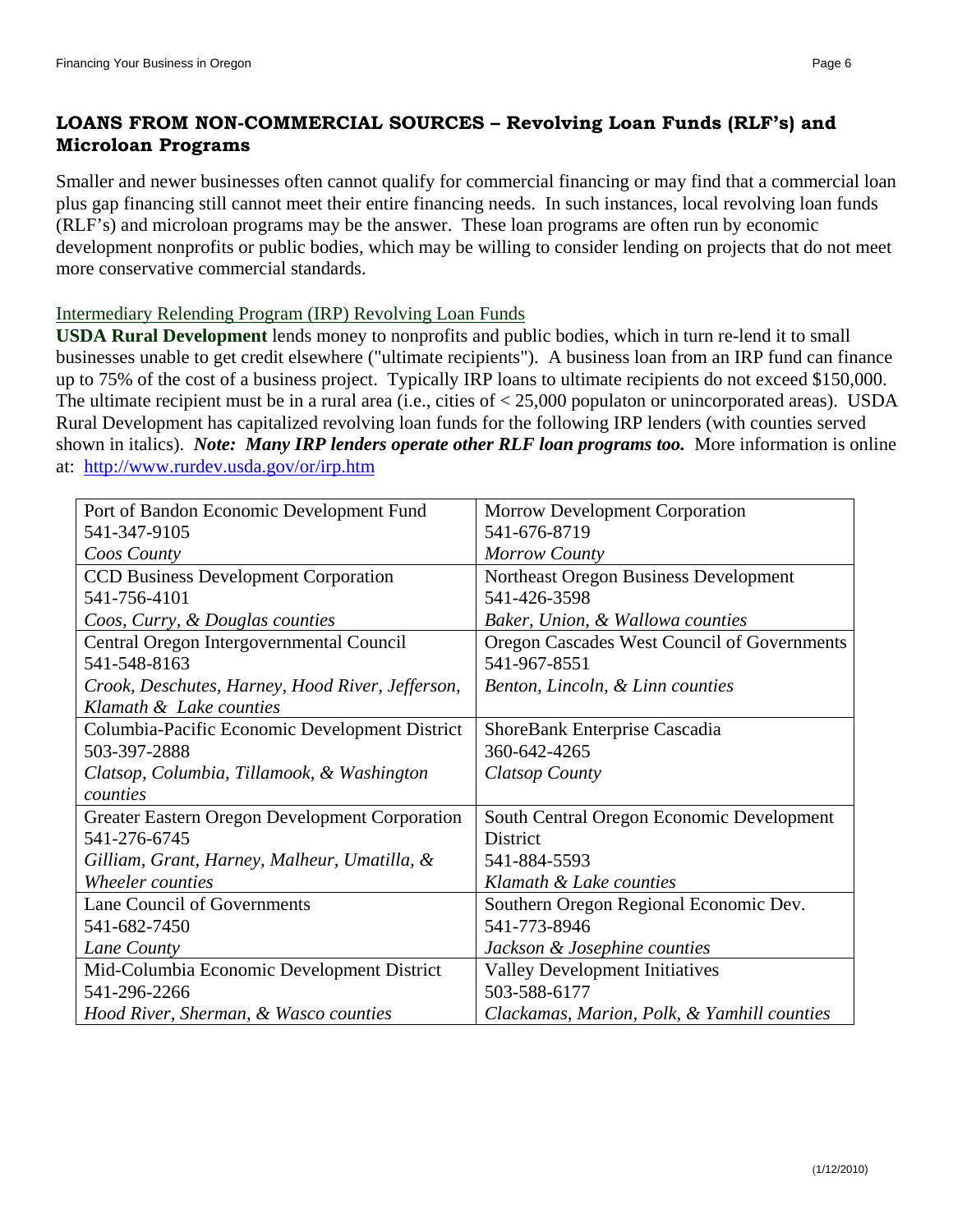## **LOANS FROM NON-COMMERCIAL SOURCES – Revolving Loan Funds (RLF's) and Microloan Programs**

Smaller and newer businesses often cannot qualify for commercial financing or may find that a commercial loan plus gap financing still cannot meet their entire financing needs. In such instances, local revolving loan funds (RLF's) and microloan programs may be the answer. These loan programs are often run by economic development nonprofits or public bodies, which may be willing to consider lending on projects that do not meet more conservative commercial standards.

Intermediary Relending Program (IRP) Revolving Loan Funds

**USDA Rural Development** lends money to nonprofits and public bodies, which in turn re-lend it to small businesses unable to get credit elsewhere ("ultimate recipients"). A business loan from an IRP fund can finance up to 75% of the cost of a business project. Typically IRP loans to ultimate recipients do not exceed \$150,000. The ultimate recipient must be in a rural area (i.e., cities of < 25,000 populaton or unincorporated areas). USDA Rural Development has capitalized revolving loan funds for the following IRP lenders (with counties served shown in italics). *Note: Many IRP lenders operate other RLF loan programs too.* More information is online at: http://www.rurdev.usda.gov/or/irp.htm

| Port of Bandon Economic Development Fund         | <b>Morrow Development Corporation</b>       |
|--------------------------------------------------|---------------------------------------------|
| 541-347-9105                                     | 541-676-8719                                |
| Coos County                                      | Morrow County                               |
| <b>CCD Business Development Corporation</b>      | Northeast Oregon Business Development       |
| 541-756-4101                                     | 541-426-3598                                |
| Coos, Curry, & Douglas counties                  | Baker, Union, & Wallowa counties            |
| Central Oregon Intergovernmental Council         | Oregon Cascades West Council of Governments |
| 541-548-8163                                     | 541-967-8551                                |
| Crook, Deschutes, Harney, Hood River, Jefferson, | Benton, Lincoln, & Linn counties            |
| Klamath & Lake counties                          |                                             |
| Columbia-Pacific Economic Development District   | ShoreBank Enterprise Cascadia               |
| 503-397-2888                                     | 360-642-4265                                |
| Clatsop, Columbia, Tillamook, & Washington       | Clatsop County                              |
| counties                                         |                                             |
| Greater Eastern Oregon Development Corporation   | South Central Oregon Economic Development   |
| 541-276-6745                                     | District                                    |
| Gilliam, Grant, Harney, Malheur, Umatilla, &     | 541-884-5593                                |
| Wheeler counties                                 | Klamath & Lake counties                     |
| <b>Lane Council of Governments</b>               | Southern Oregon Regional Economic Dev.      |
| 541-682-7450                                     | 541-773-8946                                |
| Lane County                                      | Jackson & Josephine counties                |
| Mid-Columbia Economic Development District       | <b>Valley Development Initiatives</b>       |
| 541-296-2266                                     | 503-588-6177                                |
| Hood River, Sherman, & Wasco counties            | Clackamas, Marion, Polk, & Yamhill counties |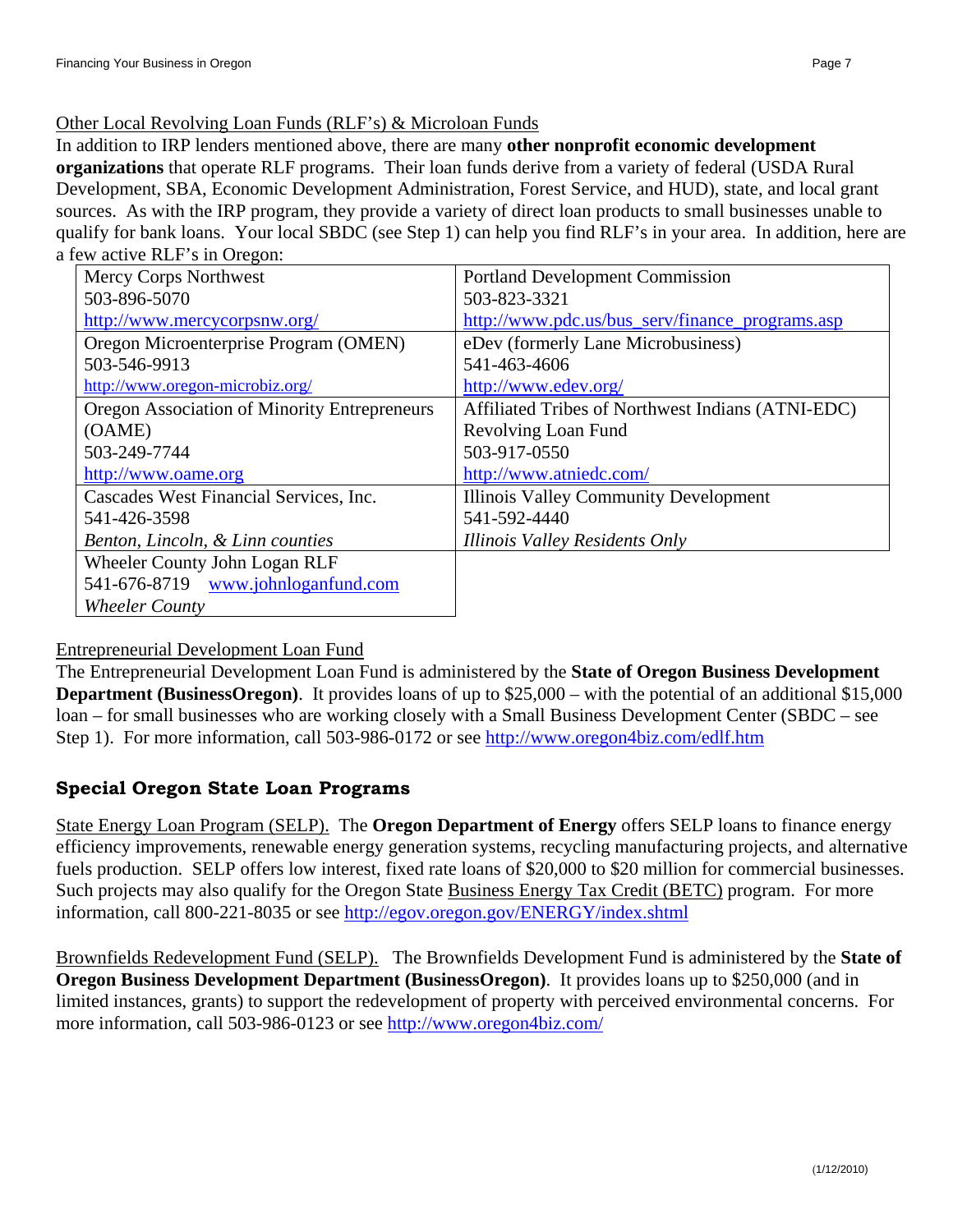#### Other Local Revolving Loan Funds (RLF's) & Microloan Funds

In addition to IRP lenders mentioned above, there are many **other nonprofit economic development organizations** that operate RLF programs. Their loan funds derive from a variety of federal (USDA Rural Development, SBA, Economic Development Administration, Forest Service, and HUD), state, and local grant sources. As with the IRP program, they provide a variety of direct loan products to small businesses unable to qualify for bank loans. Your local SBDC (see Step 1) can help you find RLF's in your area. In addition, here are a few active RLF's in Oregon:

| Mercy Corps Northwest                               | <b>Portland Development Commission</b>            |
|-----------------------------------------------------|---------------------------------------------------|
| 503-896-5070                                        | 503-823-3321                                      |
| http://www.mercycorpsnw.org/                        | http://www.pdc.us/bus_serv/finance_programs.asp   |
| Oregon Microenterprise Program (OMEN)               | eDev (formerly Lane Microbusiness)                |
| 503-546-9913                                        | 541-463-4606                                      |
| http://www.oregon-microbiz.org/                     | http://www.edev.org/                              |
| <b>Oregon Association of Minority Entrepreneurs</b> | Affiliated Tribes of Northwest Indians (ATNI-EDC) |
| (OAME)                                              | Revolving Loan Fund                               |
| 503-249-7744                                        | 503-917-0550                                      |
| http://www.oame.org                                 | http://www.atniedc.com/                           |
| Cascades West Financial Services, Inc.              | <b>Illinois Valley Community Development</b>      |
| 541-426-3598                                        | 541-592-4440                                      |
| Benton, Lincoln, & Linn counties                    | Illinois Valley Residents Only                    |
| Wheeler County John Logan RLF                       |                                                   |
| 541-676-8719 www.johnloganfund.com                  |                                                   |
| <b>Wheeler County</b>                               |                                                   |

#### Entrepreneurial Development Loan Fund

The Entrepreneurial Development Loan Fund is administered by the **State of Oregon Business Development Department (BusinessOregon)**. It provides loans of up to \$25,000 – with the potential of an additional \$15,000 loan – for small businesses who are working closely with a Small Business Development Center (SBDC – see Step 1). For more information, call 503-986-0172 or see http://www.oregon4biz.com/edlf.htm

#### **Special Oregon State Loan Programs**

State Energy Loan Program (SELP). The **Oregon Department of Energy** offers SELP loans to finance energy efficiency improvements, renewable energy generation systems, recycling manufacturing projects, and alternative fuels production. SELP offers low interest, fixed rate loans of \$20,000 to \$20 million for commercial businesses. Such projects may also qualify for the Oregon State Business Energy Tax Credit (BETC) program. For more information, call 800-221-8035 or see http://egov.oregon.gov/ENERGY/index.shtml

Brownfields Redevelopment Fund (SELP). The Brownfields Development Fund is administered by the **State of Oregon Business Development Department (BusinessOregon)**. It provides loans up to \$250,000 (and in limited instances, grants) to support the redevelopment of property with perceived environmental concerns. For more information, call 503-986-0123 or see http://www.oregon4biz.com/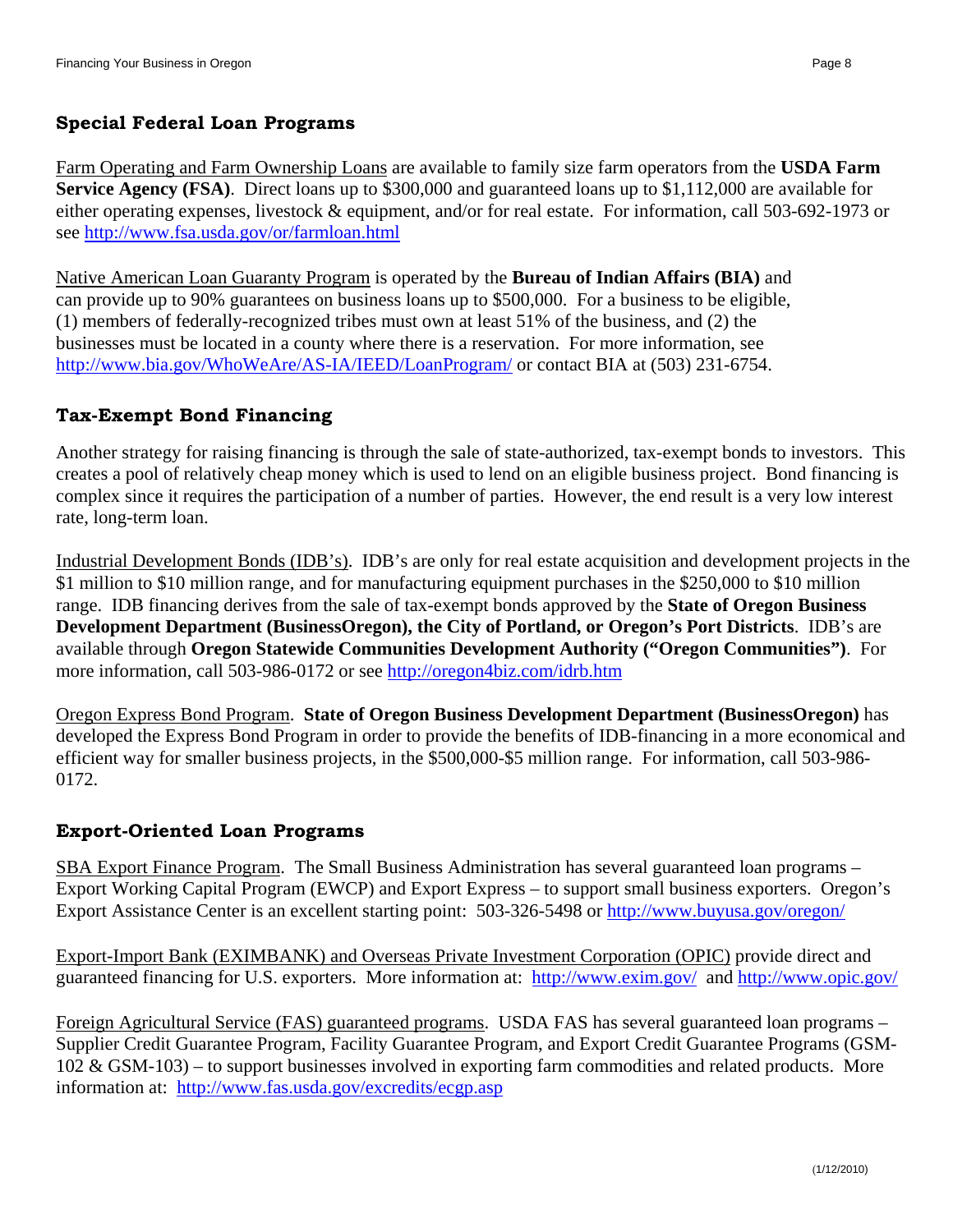#### **Special Federal Loan Programs**

Farm Operating and Farm Ownership Loans are available to family size farm operators from the **USDA Farm Service Agency (FSA)**. Direct loans up to \$300,000 and guaranteed loans up to \$1,112,000 are available for either operating expenses, livestock & equipment, and/or for real estate. For information, call 503-692-1973 or see http://www.fsa.usda.gov/or/farmloan.html

Native American Loan Guaranty Program is operated by the **Bureau of Indian Affairs (BIA)** and can provide up to 90% guarantees on business loans up to \$500,000. For a business to be eligible, (1) members of federally-recognized tribes must own at least 51% of the business, and (2) the businesses must be located in a county where there is a reservation. For more information, see http://www.bia.gov/WhoWeAre/AS-IA/IEED/LoanProgram/ or contact BIA at (503) 231-6754.

#### **Tax-Exempt Bond Financing**

Another strategy for raising financing is through the sale of state-authorized, tax-exempt bonds to investors. This creates a pool of relatively cheap money which is used to lend on an eligible business project. Bond financing is complex since it requires the participation of a number of parties. However, the end result is a very low interest rate, long-term loan.

Industrial Development Bonds (IDB's). IDB's are only for real estate acquisition and development projects in the \$1 million to \$10 million range, and for manufacturing equipment purchases in the \$250,000 to \$10 million range. IDB financing derives from the sale of tax-exempt bonds approved by the **State of Oregon Business Development Department (BusinessOregon), the City of Portland, or Oregon's Port Districts**. IDB's are available through **Oregon Statewide Communities Development Authority ("Oregon Communities")**. For more information, call 503-986-0172 or see http://oregon4biz.com/idrb.htm

Oregon Express Bond Program. **State of Oregon Business Development Department (BusinessOregon)** has developed the Express Bond Program in order to provide the benefits of IDB-financing in a more economical and efficient way for smaller business projects, in the \$500,000-\$5 million range. For information, call 503-986- 0172.

#### **Export-Oriented Loan Programs**

SBA Export Finance Program. The Small Business Administration has several guaranteed loan programs – Export Working Capital Program (EWCP) and Export Express – to support small business exporters. Oregon's Export Assistance Center is an excellent starting point: 503-326-5498 or http://www.buyusa.gov/oregon/

Export-Import Bank (EXIMBANK) and Overseas Private Investment Corporation (OPIC) provide direct and guaranteed financing for U.S. exporters. More information at: http://www.exim.gov/ and http://www.opic.gov/

Foreign Agricultural Service (FAS) guaranteed programs. USDA FAS has several guaranteed loan programs – Supplier Credit Guarantee Program, Facility Guarantee Program, and Export Credit Guarantee Programs (GSM-102 & GSM-103) – to support businesses involved in exporting farm commodities and related products. More information at: http://www.fas.usda.gov/excredits/ecgp.asp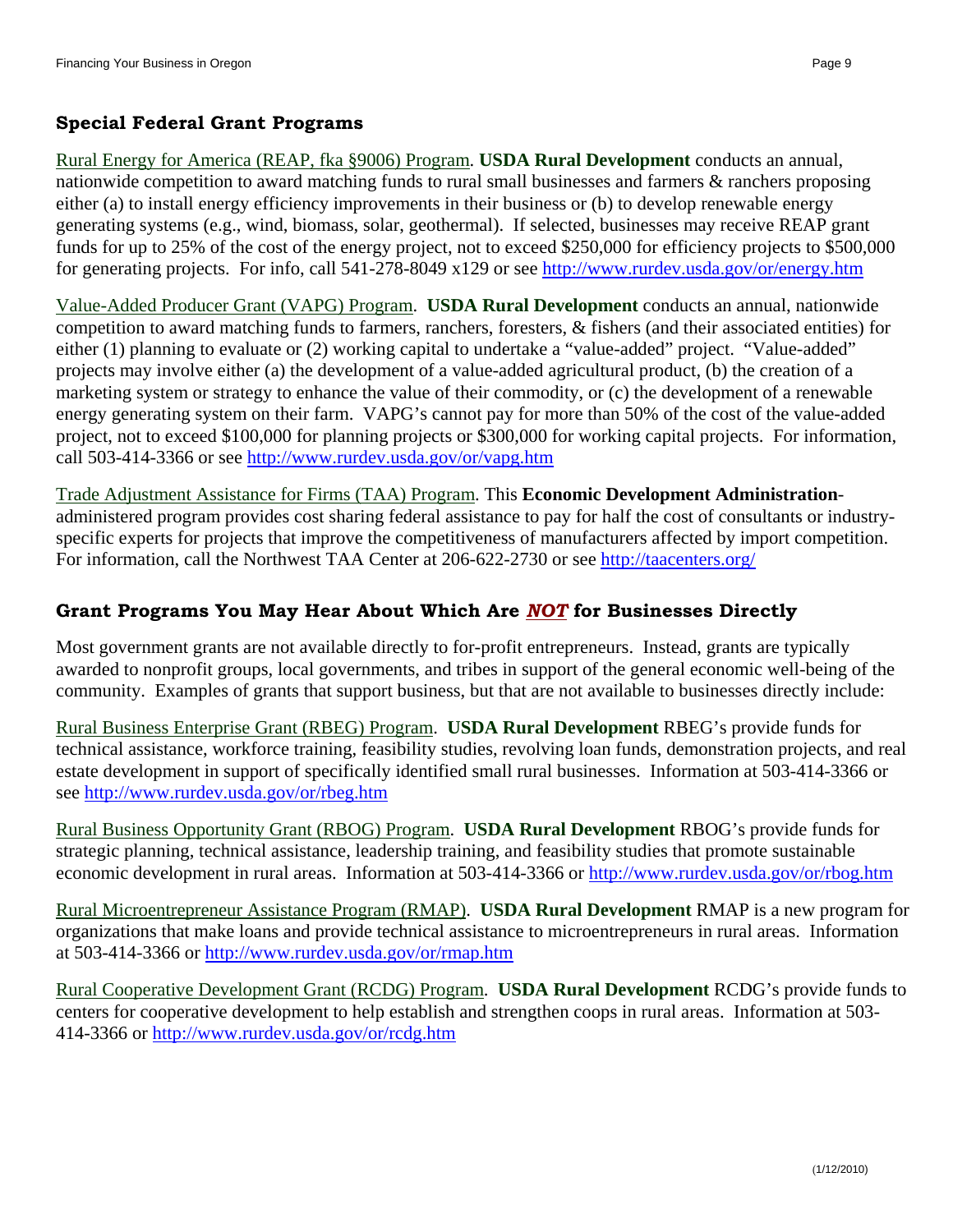#### **Special Federal Grant Programs**

Rural Energy for America (REAP, fka §9006) Program. **USDA Rural Development** conducts an annual, nationwide competition to award matching funds to rural small businesses and farmers & ranchers proposing either (a) to install energy efficiency improvements in their business or (b) to develop renewable energy generating systems (e.g., wind, biomass, solar, geothermal). If selected, businesses may receive REAP grant funds for up to 25% of the cost of the energy project, not to exceed \$250,000 for efficiency projects to \$500,000 for generating projects. For info, call 541-278-8049 x129 or see http://www.rurdev.usda.gov/or/energy.htm

Value-Added Producer Grant (VAPG) Program. **USDA Rural Development** conducts an annual, nationwide competition to award matching funds to farmers, ranchers, foresters, & fishers (and their associated entities) for either (1) planning to evaluate or (2) working capital to undertake a "value-added" project. "Value-added" projects may involve either (a) the development of a value-added agricultural product, (b) the creation of a marketing system or strategy to enhance the value of their commodity, or (c) the development of a renewable energy generating system on their farm. VAPG's cannot pay for more than 50% of the cost of the value-added project, not to exceed \$100,000 for planning projects or \$300,000 for working capital projects. For information, call 503-414-3366 or see http://www.rurdev.usda.gov/or/vapg.htm

Trade Adjustment Assistance for Firms (TAA) Program. This **Economic Development Administration**administered program provides cost sharing federal assistance to pay for half the cost of consultants or industryspecific experts for projects that improve the competitiveness of manufacturers affected by import competition. For information, call the Northwest TAA Center at 206-622-2730 or see http://taacenters.org/

#### **Grant Programs You May Hear About Which Are** *NOT* **for Businesses Directly**

Most government grants are not available directly to for-profit entrepreneurs. Instead, grants are typically awarded to nonprofit groups, local governments, and tribes in support of the general economic well-being of the community. Examples of grants that support business, but that are not available to businesses directly include:

Rural Business Enterprise Grant (RBEG) Program. **USDA Rural Development** RBEG's provide funds for technical assistance, workforce training, feasibility studies, revolving loan funds, demonstration projects, and real estate development in support of specifically identified small rural businesses. Information at 503-414-3366 or see http://www.rurdev.usda.gov/or/rbeg.htm

Rural Business Opportunity Grant (RBOG) Program. **USDA Rural Development** RBOG's provide funds for strategic planning, technical assistance, leadership training, and feasibility studies that promote sustainable economic development in rural areas. Information at 503-414-3366 or http://www.rurdev.usda.gov/or/rbog.htm

Rural Microentrepreneur Assistance Program (RMAP). **USDA Rural Development** RMAP is a new program for organizations that make loans and provide technical assistance to microentrepreneurs in rural areas. Information at 503-414-3366 or http://www.rurdev.usda.gov/or/rmap.htm

Rural Cooperative Development Grant (RCDG) Program. **USDA Rural Development** RCDG's provide funds to centers for cooperative development to help establish and strengthen coops in rural areas. Information at 503- 414-3366 or http://www.rurdev.usda.gov/or/rcdg.htm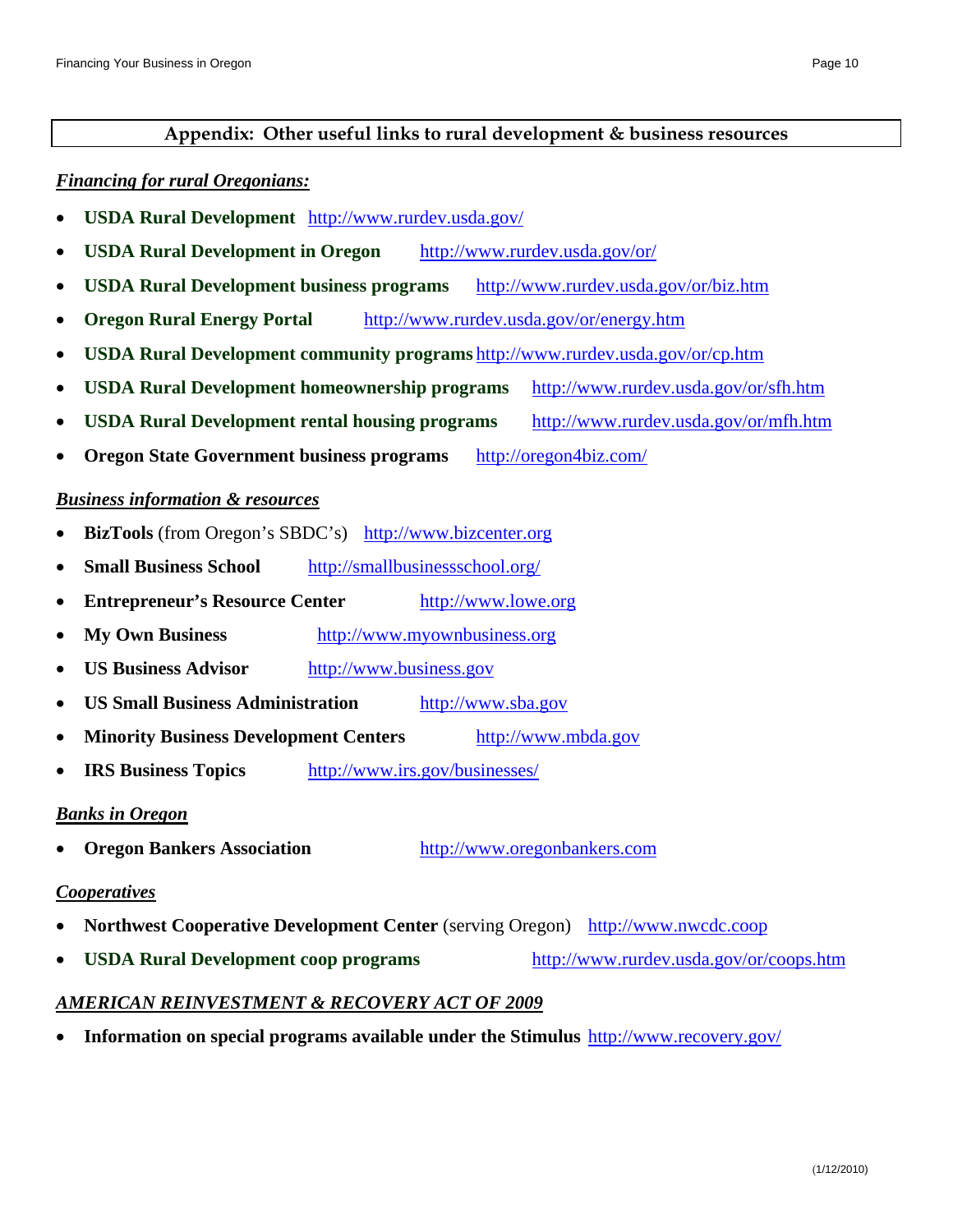#### **Appendix: Other useful links to rural development & business resources**

#### *Financing for rural Oregonians:*

- **USDA Rural Development** http://www.rurdev.usda.gov/
- **USDA Rural Development in Oregon** http://www.rurdev.usda.gov/or/
- **USDA Rural Development business programs** http://www.rurdev.usda.gov/or/biz.htm
- **Oregon Rural Energy Portal** http://www.rurdev.usda.gov/or/energy.htm
- **USDA Rural Development community programs** http://www.rurdev.usda.gov/or/cp.htm
- **USDA Rural Development homeownership programs** http://www.rurdev.usda.gov/or/sfh.htm
- **USDA Rural Development rental housing programs** http://www.rurdev.usda.gov/or/mfh.htm
- **Oregon State Government business programs** http://oregon4biz.com/

#### *Business information & resources*

- **BizTools** (from Oregon's SBDC's) http://www.bizcenter.org
- **Small Business School** http://smallbusinessschool.org/
- **Entrepreneur's Resource Center** http://www.lowe.org
- **My Own Business** http://www.myownbusiness.org
- **US Business Advisor** http://www.business.gov
- **US Small Business Administration** http://www.sba.gov
- **Minority Business Development Centers** http://www.mbda.gov
- **IRS Business Topics** http://www.irs.gov/businesses/

#### *Banks in Oregon*

**Oregon Bankers Association** http://www.oregonbankers.com

#### *Cooperatives*

- **Northwest Cooperative Development Center** (serving Oregon) http://www.nwcdc.coop
- **USDA Rural Development coop programs** http://www.rurdev.usda.gov/or/coops.htm

#### *AMERICAN REINVESTMENT & RECOVERY ACT OF 2009*

**Information on special programs available under the Stimulus** http://www.recovery.gov/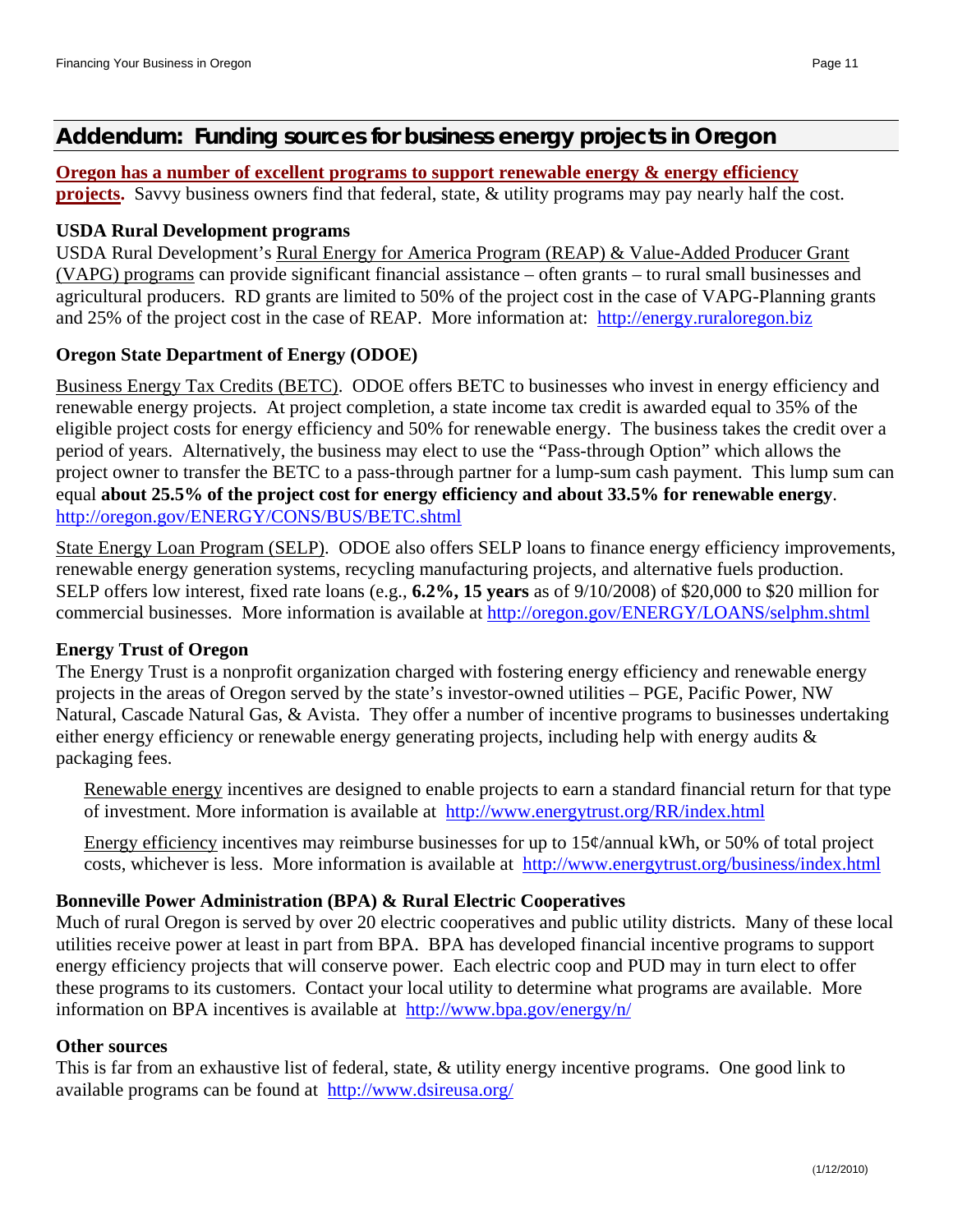## **Addendum: Funding sources for business energy projects in Oregon**

#### **Oregon has a number of excellent programs to support renewable energy & energy efficiency**

**projects.** Savvy business owners find that federal, state, & utility programs may pay nearly half the cost.

#### **USDA Rural Development programs**

USDA Rural Development's Rural Energy for America Program (REAP) & Value-Added Producer Grant (VAPG) programs can provide significant financial assistance – often grants – to rural small businesses and agricultural producers. RD grants are limited to 50% of the project cost in the case of VAPG-Planning grants and 25% of the project cost in the case of REAP. More information at: http://energy.ruraloregon.biz

## **Oregon State Department of Energy (ODOE)**

Business Energy Tax Credits (BETC). ODOE offers BETC to businesses who invest in energy efficiency and renewable energy projects. At project completion, a state income tax credit is awarded equal to 35% of the eligible project costs for energy efficiency and 50% for renewable energy. The business takes the credit over a period of years. Alternatively, the business may elect to use the "Pass-through Option" which allows the project owner to transfer the BETC to a pass-through partner for a lump-sum cash payment. This lump sum can equal **about 25.5% of the project cost for energy efficiency and about 33.5% for renewable energy**. http://oregon.gov/ENERGY/CONS/BUS/BETC.shtml

State Energy Loan Program (SELP). ODOE also offers SELP loans to finance energy efficiency improvements, renewable energy generation systems, recycling manufacturing projects, and alternative fuels production. SELP offers low interest, fixed rate loans (e.g., **6.2%, 15 years** as of 9/10/2008) of \$20,000 to \$20 million for commercial businesses. More information is available at http://oregon.gov/ENERGY/LOANS/selphm.shtml

#### **Energy Trust of Oregon**

The Energy Trust is a nonprofit organization charged with fostering energy efficiency and renewable energy projects in the areas of Oregon served by the state's investor-owned utilities – PGE, Pacific Power, NW Natural, Cascade Natural Gas, & Avista. They offer a number of incentive programs to businesses undertaking either energy efficiency or renewable energy generating projects, including help with energy audits & packaging fees.

Renewable energy incentives are designed to enable projects to earn a standard financial return for that type of investment. More information is available at http://www.energytrust.org/RR/index.html

Energy efficiency incentives may reimburse businesses for up to  $15¢$ /annual kWh, or 50% of total project costs, whichever is less. More information is available at http://www.energytrust.org/business/index.html

#### **Bonneville Power Administration (BPA) & Rural Electric Cooperatives**

Much of rural Oregon is served by over 20 electric cooperatives and public utility districts. Many of these local utilities receive power at least in part from BPA. BPA has developed financial incentive programs to support energy efficiency projects that will conserve power. Each electric coop and PUD may in turn elect to offer these programs to its customers. Contact your local utility to determine what programs are available. More information on BPA incentives is available at http://www.bpa.gov/energy/n/

#### **Other sources**

This is far from an exhaustive list of federal, state, & utility energy incentive programs. One good link to available programs can be found at http://www.dsireusa.org/